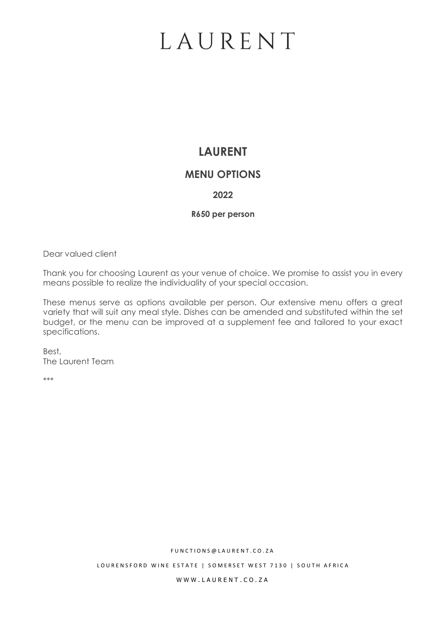## **LAURENT**

### **MENU OPTIONS**

### **2022**

#### **R650 per person**

Dear valued client

Thank you for choosing Laurent as your venue of choice. We promise to assist you in every means possible to realize the individuality of your special occasion.

These menus serve as options available per person. Our extensive menu offers a great variety that will suit any meal style. Dishes can be amended and substituted within the set budget, or the menu can be improved at a supplement fee and tailored to your exact specifications.

Best, The Laurent Team

\*\*\*

F U N C T I O N S @ L A U R E N T . C O . Z A

LOURENSFORD WINE ESTATE | SOMERSET WEST 7130 | SOUTH AFRICA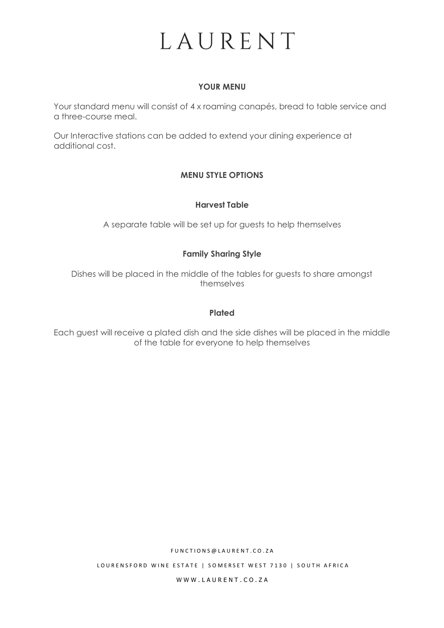#### **YOUR MENU**

Your standard menu will consist of 4 x roaming canapés, bread to table service and a three-course meal.

Our Interactive stations can be added to extend your dining experience at additional cost.

### **MENU STYLE OPTIONS**

#### **Harvest Table**

A separate table will be set up for guests to help themselves

#### **Family Sharing Style**

Dishes will be placed in the middle of the tables for guests to share amongst themselves

#### **Plated**

Each guest will receive a plated dish and the side dishes will be placed in the middle of the table for everyone to help themselves

F U N C T I O N S @ L A U R E N T . C O . Z A

LOURENSFORD WINE ESTATE | SOMERSET WEST 7130 | SOUTH AFRICA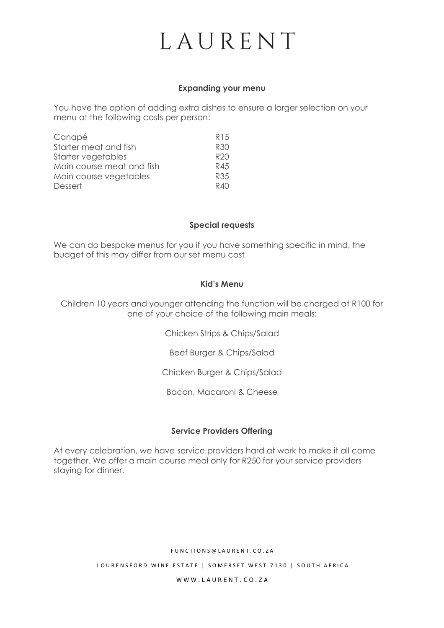#### **Expanding your menu**

You have the option of adding extra dishes to ensure a larger selection on your menu at the following costs per person:

| Canapé                    | R <sub>15</sub> |
|---------------------------|-----------------|
| Starter meat and fish     | R30             |
| Starter vegetables        | R <sub>20</sub> |
| Main course meat and fish | R45             |
| Main course vegetables    | R35             |
| Dessert                   | R40             |

#### **Special requests**

We can do bespoke menus for you if you have something specific in mind, the budget of this may differ from our set menu cost

#### **Kid's Menu**

Children 10 years and younger attending the function will be charged at R100 for one of your choice of the following main meals:

Chicken Strips & Chips/Salad

Beef Burger & Chips/Salad

Chicken Burger & Chips/Salad

Bacon, Macaroni & Cheese

#### **Service Providers Offering**

At every celebration, we have service providers hard at work to make it all come together. We offer a main course meal only for R250 for your service providers staying for dinner.

#### F U N C T I O N S @ L A U R E N T . C O . Z A

LOURENSFORD WINE ESTATE | SOMERSET WEST 7130 | SOUTH AFRICA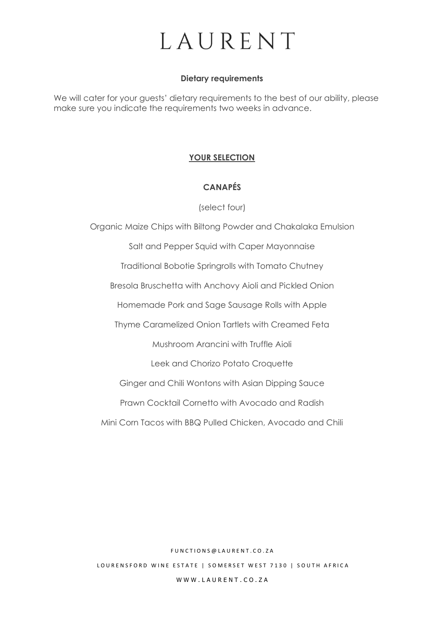#### **Dietary requirements**

We will cater for your guests' dietary requirements to the best of our ability, please make sure you indicate the requirements two weeks in advance.

#### **YOUR SELECTION**

### **CANAPÉS**

(select four)

Organic Maize Chips with Biltong Powder and Chakalaka Emulsion Salt and Pepper Squid with Caper Mayonnaise Traditional Bobotie Springrolls with Tomato Chutney Bresola Bruschetta with Anchovy Aioli and Pickled Onion Homemade Pork and Sage Sausage Rolls with Apple Thyme Caramelized Onion Tartlets with Creamed Feta Mushroom Arancini with Truffle Aioli Leek and Chorizo Potato Croquette Ginger and Chili Wontons with Asian Dipping Sauce Prawn Cocktail Cornetto with Avocado and Radish Mini Corn Tacos with BBQ Pulled Chicken, Avocado and Chili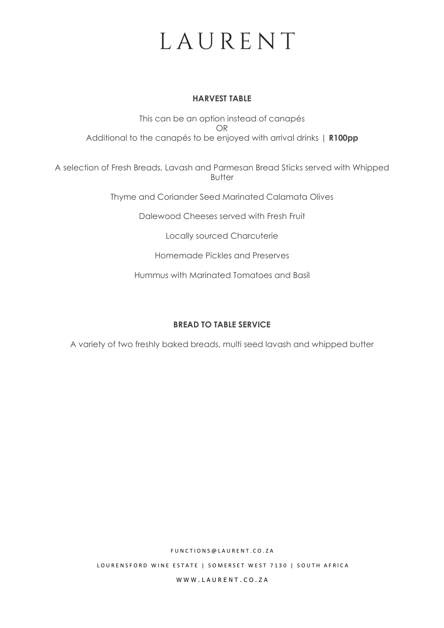#### **HARVEST TABLE**

This can be an option instead of canapés OR Additional to the canapés to be enjoyed with arrival drinks | **R100pp**

A selection of Fresh Breads, Lavash and Parmesan Bread Sticks served with Whipped Butter

Thyme and Coriander Seed Marinated Calamata Olives

Dalewood Cheeses served with Fresh Fruit

Locally sourced Charcuterie

Homemade Pickles and Preserves

Hummus with Marinated Tomatoes and Basil

### **BREAD TO TABLE SERVICE**

A variety of two freshly baked breads, multi seed lavash and whipped butter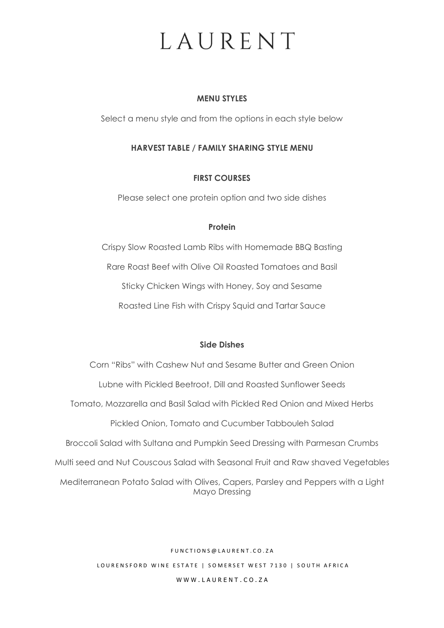#### **MENU STYLES**

Select a menu style and from the options in each style below

### **HARVEST TABLE / FAMILY SHARING STYLE MENU**

### **FIRST COURSES**

Please select one protein option and two side dishes

#### **Protein**

Crispy Slow Roasted Lamb Ribs with Homemade BBQ Basting Rare Roast Beef with Olive Oil Roasted Tomatoes and Basil Sticky Chicken Wings with Honey, Soy and Sesame Roasted Line Fish with Crispy Squid and Tartar Sauce

#### **Side Dishes**

Corn "Ribs" with Cashew Nut and Sesame Butter and Green Onion Lubne with Pickled Beetroot, Dill and Roasted Sunflower Seeds Tomato, Mozzarella and Basil Salad with Pickled Red Onion and Mixed Herbs Pickled Onion, Tomato and Cucumber Tabbouleh Salad Broccoli Salad with Sultana and Pumpkin Seed Dressing with Parmesan Crumbs Multi seed and Nut Couscous Salad with Seasonal Fruit and Raw shaved Vegetables Mediterranean Potato Salad with Olives, Capers, Parsley and Peppers with a Light Mayo Dressing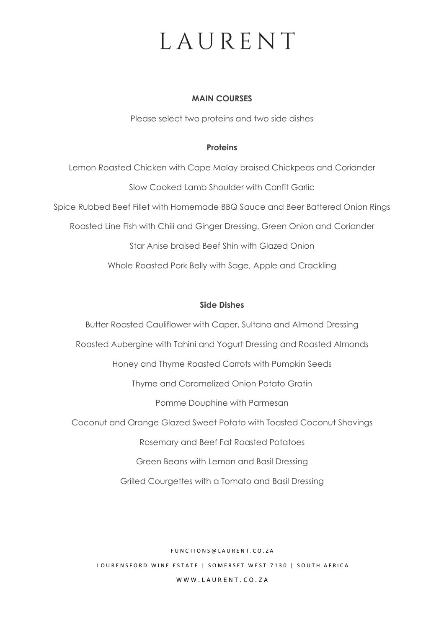#### **MAIN COURSES**

Please select two proteins and two side dishes

#### **Proteins**

Lemon Roasted Chicken with Cape Malay braised Chickpeas and Coriander Slow Cooked Lamb Shoulder with Confit Garlic Spice Rubbed Beef Fillet with Homemade BBQ Sauce and Beer Battered Onion Rings Roasted Line Fish with Chili and Ginger Dressing, Green Onion and Coriander Star Anise braised Beef Shin with Glazed Onion Whole Roasted Pork Belly with Sage, Apple and Crackling

#### **Side Dishes**

Butter Roasted Cauliflower with Caper, Sultana and Almond Dressing Roasted Aubergine with Tahini and Yogurt Dressing and Roasted Almonds Honey and Thyme Roasted Carrots with Pumpkin Seeds Thyme and Caramelized Onion Potato Gratin Pomme Douphine with Parmesan Coconut and Orange Glazed Sweet Potato with Toasted Coconut Shavings Rosemary and Beef Fat Roasted Potatoes Green Beans with Lemon and Basil Dressing Grilled Courgettes with a Tomato and Basil Dressing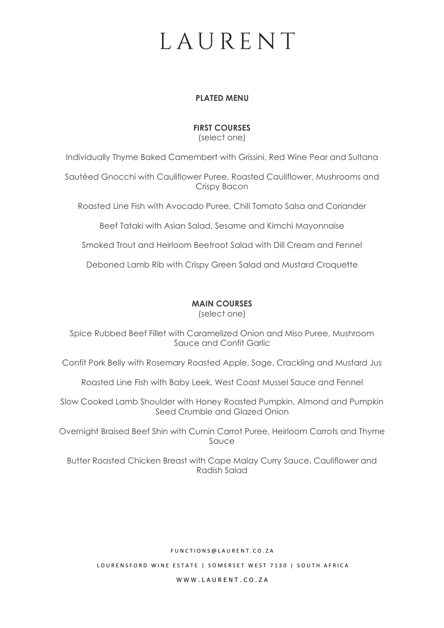#### **PLATED MENU**

### **FIRST COURSES**

(select one)

Individually Thyme Baked Camembert with Grissini, Red Wine Pear and Sultana

Sautéed Gnocchi with Cauliflower Puree, Roasted Cauliflower, Mushrooms and Crispy Bacon

Roasted Line Fish with Avocado Puree, Chili Tomato Salsa and Coriander

Beef Tataki with Asian Salad, Sesame and Kimchi Mayonnaise

Smoked Trout and Heirloom Beetroot Salad with Dill Cream and Fennel

Deboned Lamb Rib with Crispy Green Salad and Mustard Croquette

### **MAIN COURSES**

(select one)

Spice Rubbed Beef Fillet with Caramelized Onion and Miso Puree, Mushroom Sauce and Confit Garlic

Confit Pork Belly with Rosemary Roasted Apple, Sage, Crackling and Mustard Jus

Roasted Line Fish with Baby Leek, West Coast Mussel Sauce and Fennel

Slow Cooked Lamb Shoulder with Honey Roasted Pumpkin, Almond and Pumpkin Seed Crumble and Glazed Onion

Overnight Braised Beef Shin with Cumin Carrot Puree, Heirloom Carrots and Thyme Sauce

Butter Roasted Chicken Breast with Cape Malay Curry Sauce, Cauliflower and Radish Salad

#### F U N C T I O N S @ L A U R E N T . C O . Z A

LOURENSFORD WINE ESTATE | SOMERSET WEST 7130 | SOUTH AFRICA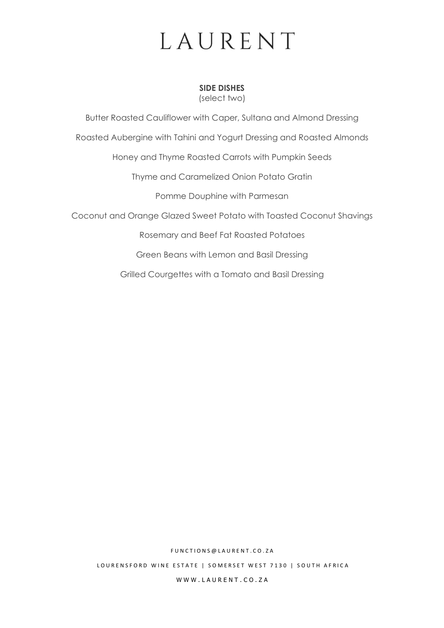**SIDE DISHES** (select two)

Butter Roasted Cauliflower with Caper, Sultana and Almond Dressing Roasted Aubergine with Tahini and Yogurt Dressing and Roasted Almonds Honey and Thyme Roasted Carrots with Pumpkin Seeds Thyme and Caramelized Onion Potato Gratin Pomme Douphine with Parmesan Coconut and Orange Glazed Sweet Potato with Toasted Coconut Shavings Rosemary and Beef Fat Roasted Potatoes Green Beans with Lemon and Basil Dressing

Grilled Courgettes with a Tomato and Basil Dressing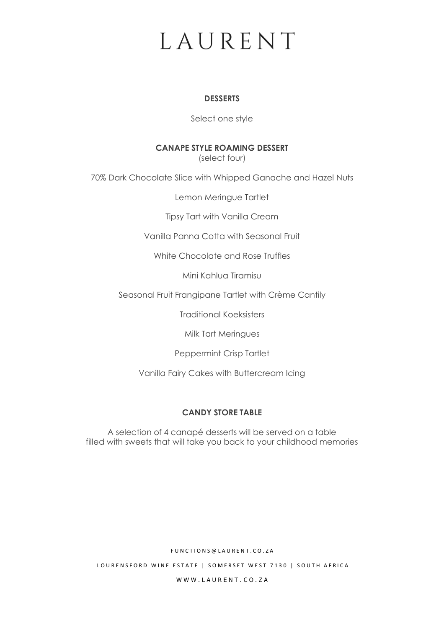#### **DESSERTS**

Select one style

### **CANAPE STYLE ROAMING DESSERT**

(select four)

70% Dark Chocolate Slice with Whipped Ganache and Hazel Nuts

Lemon Meringue Tartlet

Tipsy Tart with Vanilla Cream

Vanilla Panna Cotta with Seasonal Fruit

White Chocolate and Rose Truffles

Mini Kahlua Tiramisu

Seasonal Fruit Frangipane Tartlet with Crème Cantily

Traditional Koeksisters

Milk Tart Meringues

Peppermint Crisp Tartlet

Vanilla Fairy Cakes with Buttercream Icing

### **CANDY STORE TABLE**

A selection of 4 canapé desserts will be served on a table filled with sweets that will take you back to your childhood memories

F U N C T I O N S @ L A U R E N T . C O . Z A

LOURENSFORD WINE ESTATE | SOMERSET WEST 7130 | SOUTH AFRICA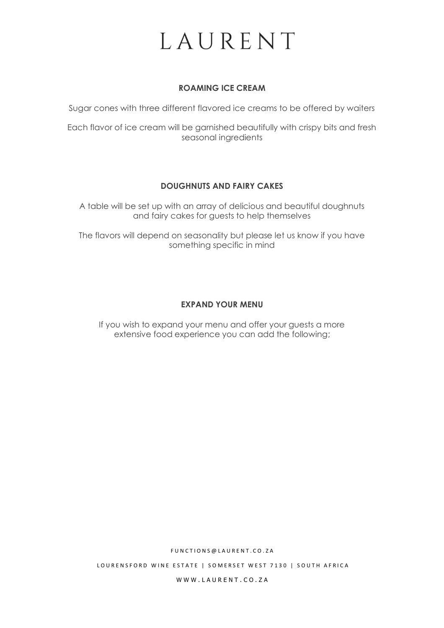### **ROAMING ICE CREAM**

Sugar cones with three different flavored ice creams to be offered by waiters

Each flavor of ice cream will be garnished beautifully with crispy bits and fresh seasonal ingredients

#### **DOUGHNUTS AND FAIRY CAKES**

A table will be set up with an array of delicious and beautiful doughnuts and fairy cakes for guests to help themselves

The flavors will depend on seasonality but please let us know if you have something specific in mind

### **EXPAND YOUR MENU**

If you wish to expand your menu and offer your guests a more extensive food experience you can add the following;

F U N C T I O N S @ L A U R E N T . C O . Z A

LOURENSFORD WINE ESTATE | SOMERSET WEST 7130 | SOUTH AFRICA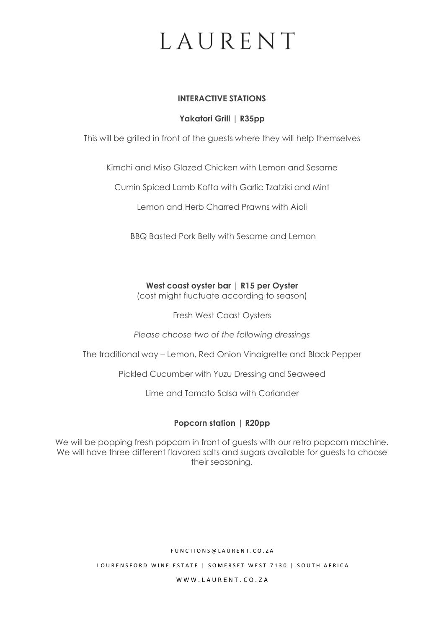#### **INTERACTIVE STATIONS**

### **Yakatori Grill | R35pp**

This will be grilled in front of the guests where they will help themselves

Kimchi and Miso Glazed Chicken with Lemon and Sesame

Cumin Spiced Lamb Kofta with Garlic Tzatziki and Mint

Lemon and Herb Charred Prawns with Aioli

BBQ Basted Pork Belly with Sesame and Lemon

#### **West coast oyster bar | R15 per Oyster**

(cost might fluctuate according to season)

Fresh West Coast Oysters

*Please choose two of the following dressings*

The traditional way – Lemon, Red Onion Vinaigrette and Black Pepper

Pickled Cucumber with Yuzu Dressing and Seaweed

Lime and Tomato Salsa with Coriander

#### **Popcorn station | R20pp**

We will be popping fresh popcorn in front of guests with our retro popcorn machine. We will have three different flavored salts and sugars available for guests to choose their seasoning.

#### F U N C T I O N S @ L A U R E N T . C O . Z A

LOURENSFORD WINE ESTATE | SOMERSET WEST 7130 | SOUTH AFRICA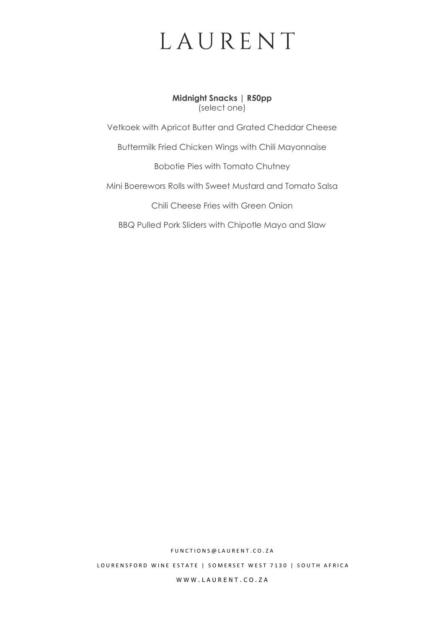**Midnight Snacks | R50pp** (select one)

Vetkoek with Apricot Butter and Grated Cheddar Cheese

Buttermilk Fried Chicken Wings with Chili Mayonnaise

Bobotie Pies with Tomato Chutney

Mini Boerewors Rolls with Sweet Mustard and Tomato Salsa

Chili Cheese Fries with Green Onion

BBQ Pulled Pork Sliders with Chipotle Mayo and Slaw

F U N C T I O N S @ L A U R E N T . C O . Z A

LOURENSFORD WINE ESTATE | SOMERSET WEST 7130 | SOUTH AFRICA